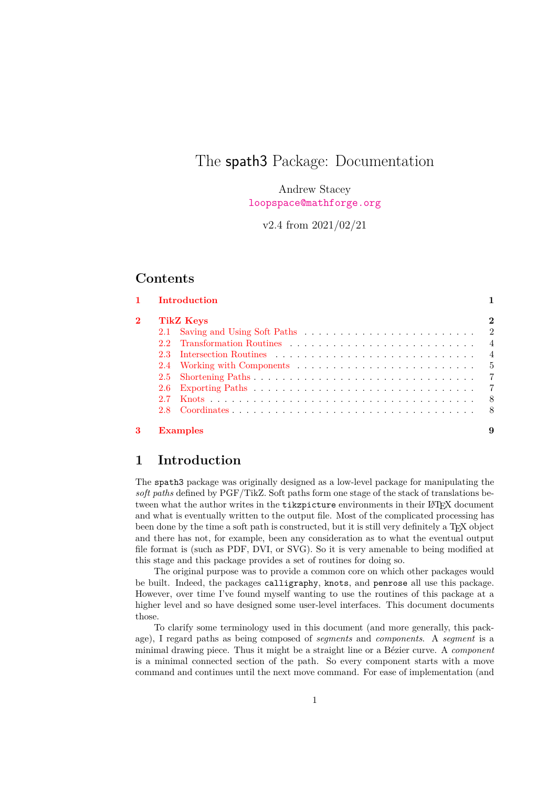# The spath3 Package: Documentation

Andrew Stacey <loopspace@mathforge.org>

v2.4 from 2021/02/21

## **Contents**

|         | <b>TikZ</b> Keys                                                                                                                                                                                                               |
|---------|--------------------------------------------------------------------------------------------------------------------------------------------------------------------------------------------------------------------------------|
| 2.1     |                                                                                                                                                                                                                                |
| 22      |                                                                                                                                                                                                                                |
| $2.3 -$ | Intersection Routines enterprise in the contract of the second results of the second results of the second results of the second results of the second results of the second results of the second results of the second resul |
|         |                                                                                                                                                                                                                                |
|         |                                                                                                                                                                                                                                |
| 2.6     |                                                                                                                                                                                                                                |
| 27      |                                                                                                                                                                                                                                |
|         |                                                                                                                                                                                                                                |

# <span id="page-0-0"></span>**1 Introduction**

The spath3 package was originally designed as a low-level package for manipulating the *soft paths* defined by PGF/TikZ. Soft paths form one stage of the stack of translations between what the author writes in the tikzpicture environments in their L<sup>AT</sup>FX document and what is eventually written to the output file. Most of the complicated processing has been done by the time a soft path is constructed, but it is still very definitely a T<sub>E</sub>X object and there has not, for example, been any consideration as to what the eventual output file format is (such as PDF, DVI, or SVG). So it is very amenable to being modified at this stage and this package provides a set of routines for doing so.

The original purpose was to provide a common core on which other packages would be built. Indeed, the packages calligraphy, knots, and penrose all use this package. However, over time I've found myself wanting to use the routines of this package at a higher level and so have designed some user-level interfaces. This document documents those.

To clarify some terminology used in this document (and more generally, this package), I regard paths as being composed of *segments* and *components*. A *segment* is a minimal drawing piece. Thus it might be a straight line or a Bézier curve. A *component* is a minimal connected section of the path. So every component starts with a move command and continues until the next move command. For ease of implementation (and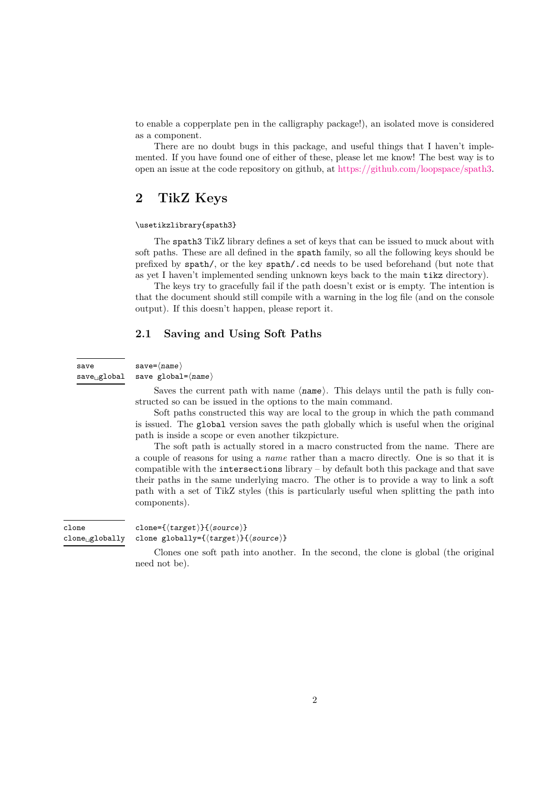to enable a copperplate pen in the calligraphy package!), an isolated move is considered as a component.

There are no doubt bugs in this package, and useful things that I haven't implemented. If you have found one of either of these, please let me know! The best way is to open an issue at the code repository on github, at [https://github.com/loopspace/spath3.](https://github.com/loopspace/spath3)

# <span id="page-1-0"></span>**2 TikZ Keys**

#### \usetikzlibrary{spath3}

The spath3 TikZ library defines a set of keys that can be issued to muck about with soft paths. These are all defined in the spath family, so all the following keys should be prefixed by spath/, or the key spath/.cd needs to be used beforehand (but note that as yet I haven't implemented sending unknown keys back to the main tikz directory).

The keys try to gracefully fail if the path doesn't exist or is empty. The intention is that the document should still compile with a warning in the log file (and on the console output). If this doesn't happen, please report it.

## <span id="page-1-1"></span>**2.1 Saving and Using Soft Paths**

#### $save = \langle name \rangle$

save

save global= $\langle$ name $\rangle$ save␣global

> Saves the current path with name  $\langle$  name). This delays until the path is fully constructed so can be issued in the options to the main command.

> Soft paths constructed this way are local to the group in which the path command is issued. The global version saves the path globally which is useful when the original path is inside a scope or even another tikzpicture.

> The soft path is actually stored in a macro constructed from the name. There are a couple of reasons for using a *name* rather than a macro directly. One is so that it is compatible with the intersections library – by default both this package and that save their paths in the same underlying macro. The other is to provide a way to link a soft path with a set of TikZ styles (this is particularly useful when splitting the path into components).

clone={ $\langle target \rangle$ }{ $\langle source \rangle$ } clone globally={ $\langle target \rangle$ }{ $\langle source \rangle$ } clone clone␣globally

> Clones one soft path into another. In the second, the clone is global (the original need not be).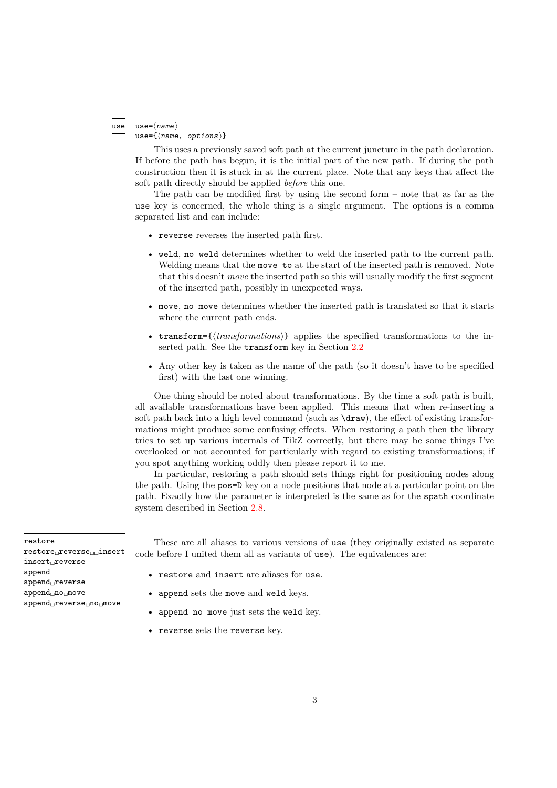#### use= $\langle$ *name* $\rangle$ use={ $\langle$ name, options}} use

This uses a previously saved soft path at the current juncture in the path declaration. If before the path has begun, it is the initial part of the new path. If during the path construction then it is stuck in at the current place. Note that any keys that affect the soft path directly should be applied *before* this one.

The path can be modified first by using the second form – note that as far as the use key is concerned, the whole thing is a single argument. The options is a comma separated list and can include:

- reverse reverses the inserted path first.
- weld, no weld determines whether to weld the inserted path to the current path. Welding means that the move to at the start of the inserted path is removed. Note that this doesn't *move* the inserted path so this will usually modify the first segment of the inserted path, possibly in unexpected ways.
- move, no move determines whether the inserted path is translated so that it starts where the current path ends.
- transform= $\{transformation\}$ } applies the specified transformations to the inserted path. See the transform key in Section [2.2](#page-3-0)
- Any other key is taken as the name of the path (so it doesn't have to be specified first) with the last one winning.

One thing should be noted about transformations. By the time a soft path is built, all available transformations have been applied. This means that when re-inserting a soft path back into a high level command (such as  $\dagger$ xaw), the effect of existing transformations might produce some confusing effects. When restoring a path then the library tries to set up various internals of TikZ correctly, but there may be some things I've overlooked or not accounted for particularly with regard to existing transformations; if you spot anything working oddly then please report it to me.

In particular, restoring a path should sets things right for positioning nodes along the path. Using the pos=D key on a node positions that node at a particular point on the path. Exactly how the parameter is interpreted is the same as for the spath coordinate system described in Section [2.8.](#page-7-1)

These are all aliases to various versions of use (they originally existed as separate code before I united them all as variants of use). The equivalences are:

- restore and insert are aliases for use.
- append sets the move and weld keys.
- append no move just sets the weld key.
- reverse sets the reverse key.

restore restore<sub>Li</sub>reverse<sub>LiLi</sub>insert insert␣reverse append append␣reverse append␣no␣move append␣reverse␣no␣move

3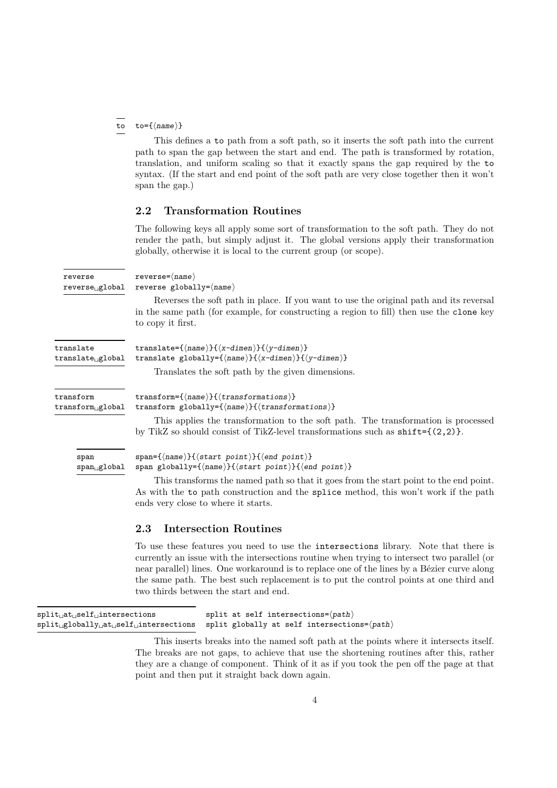#### to={ $\langle name \rangle$ } to

This defines a to path from a soft path, so it inserts the soft path into the current path to span the gap between the start and end. The path is transformed by rotation, translation, and uniform scaling so that it exactly spans the gap required by the to syntax. (If the start and end point of the soft path are very close together then it won't span the gap.)

## <span id="page-3-0"></span>**2.2 Transformation Routines**

The following keys all apply some sort of transformation to the soft path. They do not render the path, but simply adjust it. The global versions apply their transformation globally, otherwise it is local to the current group (or scope).

| reverse<br>reverse <sub>u</sub> global    | $reverse = \langle name \rangle$<br>reverse globally= $\langle name \rangle$                                                                                                                                        |
|-------------------------------------------|---------------------------------------------------------------------------------------------------------------------------------------------------------------------------------------------------------------------|
|                                           | Reverses the soft path in place. If you want to use the original path and its reversal<br>in the same path (for example, for constructing a region to fill) then use the clone key<br>to copy it first.             |
| translate<br>translate <sub>Lglobal</sub> | translate={ $\langle$ name}}{ $\langle$ x-dimen}}{ $\langle$ y-dimen}}<br>translate globally={ $\langle$ name}}{ $\langle$ x-dimen}}{ $\langle$ y-dimen}}                                                           |
|                                           | Translates the soft path by the given dimensions.                                                                                                                                                                   |
| transform<br>transformuglobal             | transform={ $\langle$ name}}{ $\langle$ transformations}}<br>transform globally={ $\langle$ name}}{ $\langle$ transformations}}                                                                                     |
|                                           | This applies the transformation to the soft path. The transformation is processed<br>by TikZ so should consist of TikZ-level transformations such as $\text{shift}=\{(2,2)\}.$                                      |
| span                                      | $span=\{\langle name \rangle\}\{\langle start \ point \rangle\}\{\langle end \ point \rangle\}$                                                                                                                     |
| $span_{\square}$ global                   | span globally={ $\langle$ name}}{ $\langle$ start point}}{ $\langle$ end point}}                                                                                                                                    |
|                                           | This transforms the named path so that it goes from the start point to the end point.<br>As with the to path construction and the splice method, this won't work if the path<br>ends very close to where it starts. |

#### <span id="page-3-1"></span>**2.3 Intersection Routines**

To use these features you need to use the intersections library. Note that there is currently an issue with the intersections routine when trying to intersect two parallel (or near parallel) lines. One workaround is to replace one of the lines by a Bézier curve along the same path. The best such replacement is to put the control points at one third and two thirds between the start and end.

| $split$ <sub><math>\sqcup</math></sub> $\text{at}$ <sub><math>\sqcup</math></sub> $\text{self}$ <sub><math>\sqcup</math></sub> $\text{intersections}$ | split at self intersections= $\langle path \rangle$                                                                                                |
|-------------------------------------------------------------------------------------------------------------------------------------------------------|----------------------------------------------------------------------------------------------------------------------------------------------------|
|                                                                                                                                                       | $split_{\sqcup}$ globally $_{\sqcup}$ at $_{\sqcup}$ self $_{\sqcup}$ intersections split globally at self intersections= $\langle$ path $\rangle$ |

This inserts breaks into the named soft path at the points where it intersects itself. The breaks are not gaps, to achieve that use the shortening routines after this, rather they are a change of component. Think of it as if you took the pen off the page at that point and then put it straight back down again.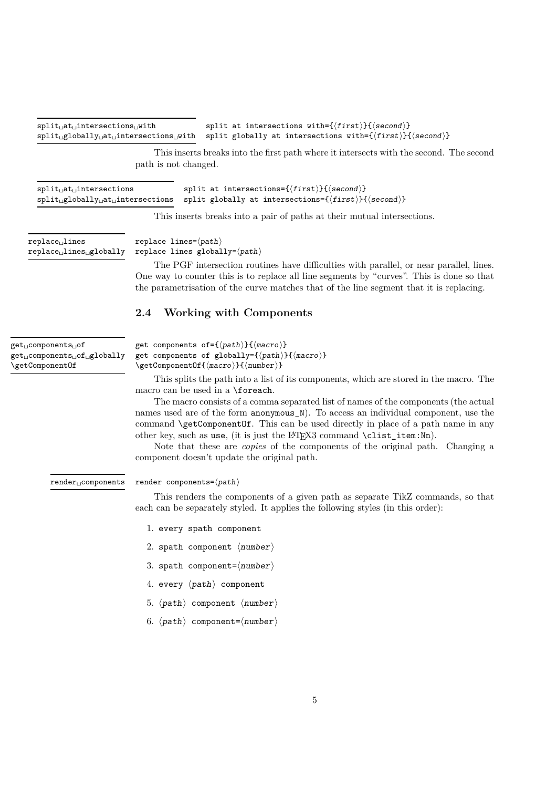split at intersections with= $\{\langle first \rangle\}\{\langle second \rangle\}$ split globally at intersections with= $\{\langle first \rangle\}\{\langle second \rangle\}$ split␣at␣intersections␣with split␣globally␣at␣intersections␣with

> This inserts breaks into the first path where it intersects with the second. The second path is not changed.

| $split$ <sub><math>\sqcup</math></sub> at $\sqcup$ intersections | split at intersections= $\{\langle first \rangle\}\{\langle second \rangle\}$                                                                   |
|------------------------------------------------------------------|-------------------------------------------------------------------------------------------------------------------------------------------------|
|                                                                  | $split_{\cup}$ globally $_{\cup}$ at <sub><math>\cup</math></sub> intersections split globally at intersections={ $\{first\}$ }{ $\{second\}$ } |

This inserts breaks into a pair of paths at their mutual intersections.

replace␣lines replace␣lines␣globally

replace lines= $\langle path \rangle$ replace lines globally= $\langle path \rangle$ 

The PGF intersection routines have difficulties with parallel, or near parallel, lines. One way to counter this is to replace all line segments by "curves". This is done so that the parametrisation of the curve matches that of the line segment that it is replacing.

## <span id="page-4-0"></span>**2.4 Working with Components**

| get <sub>LI</sub> components <sub>LI</sub> of<br>$get_{\sqcup} \text{components}_{\sqcup} \text{of}_{\sqcup} \text{globally}$<br>\getComponent0f | get components of={ $\langle path \rangle$ }{ $\langle macro \rangle$ }<br>get components of globally= $\{\langle path \rangle\}$ $\{\langle macro \rangle\}$<br>$\setminus$ getComponentOf $\{\langle macro \rangle\}$ $\{\langle number \rangle\}$ |
|--------------------------------------------------------------------------------------------------------------------------------------------------|------------------------------------------------------------------------------------------------------------------------------------------------------------------------------------------------------------------------------------------------------|
|                                                                                                                                                  | This splits the path into a list of its components, which are stored in the mi                                                                                                                                                                       |

This splits the path into a list of its components, which are stored in the macro. The macro can be used in a \foreach.

The macro consists of a comma separated list of names of the components (the actual names used are of the form anonymous\_N). To access an individual component, use the command **\getComponentOf**. This can be used directly in place of a path name in any other key, such as use, (it is just the LAT<sub>E</sub>X3 command \clist\_item:Nn).

Note that these are *copies* of the components of the original path. Changing a component doesn't update the original path.

render␣components

#### render components= $\langle path \rangle$

This renders the components of a given path as separate TikZ commands, so that each can be separately styled. It applies the following styles (in this order):

- 1. every spath component
- 2. spath component  $\langle$ number $\rangle$
- 3. spath component= $\langle$ number $\rangle$
- 4. every  $\langle path \rangle$  component
- 5.  $\langle path \rangle$  component  $\langle number \rangle$
- 6.  $\langle path \rangle$  component= $\langle number \rangle$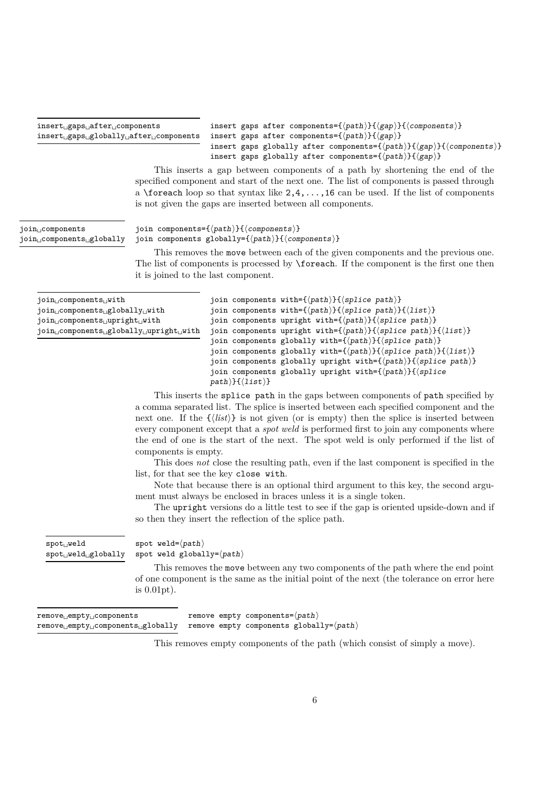#### insert␣gaps␣after␣components insert␣gaps␣globally␣after␣components

insert gaps after components={ $\langle$ path}}{ $\langle$ gap}}{ $\langle$ components}} insert gaps after components={ $\langle path \rangle$ }{ $\langle gap \rangle$ } insert gaps globally after components={ $\langle path \rangle$ }{ $\langle gap \rangle$ }{ $\langle components \rangle$ } insert gaps globally after components= $\{\langle path \rangle\}\{\langle gap \rangle\}$ 

This inserts a gap between components of a path by shortening the end of the specified component and start of the next one. The list of components is passed through a  $\iota$  so that syntax like  $2, 4, \ldots, 16$  can be used. If the list of components is not given the gaps are inserted between all components.

join␣components join␣components␣globally

join components= $\{\langle path \rangle\}$ { $\langle components \rangle\}$ join components globally={ $\langle path \rangle$ }{ $\langle components \rangle$ }

This removes the move between each of the given components and the previous one. The list of components is processed by \foreach. If the component is the first one then it is joined to the last component.

| $join_{  }components_{  }with$                             | join components with={ $\langle path \rangle$ }{ $\langle split \rangle$ }                                    |
|------------------------------------------------------------|---------------------------------------------------------------------------------------------------------------|
| $\{join_{  } \text{components}_{  }$ globally $_{  }$ with | join components with={ $\langle path \rangle$ }{ $\langle split \rangle$ }{ $\langle list \rangle$ }          |
| join components  cupright    givith                        | join components upright with={ $\langle path \rangle$ }{ $\langle split \rangle$ }                            |
|                                                            | join components upright with={ $\langle path \rangle$ }{ $\langle split \rangle$ }{ $\langle list \rangle$ }  |
|                                                            | join components globally with= $\{\langle path \rangle\}\{\langle split \rangle\}$                            |
|                                                            | join components globally with={ $\langle path \rangle$ }{ $\langle split \rangle$ }{ $\langle list \rangle$ } |
|                                                            | join components globally upright with= $\{\langle path \rangle\}\{\langle split\ path \rangle\}$              |
|                                                            | join components globally upright with= $\{\langle path \rangle\}\{\langle split \rangle\}$                    |

 $path$ }{(list)}

This inserts the splice path in the gaps between components of path specified by a comma separated list. The splice is inserted between each specified component and the next one. If the  $\{\langle list \rangle\}$  is not given (or is empty) then the splice is inserted between every component except that a *spot weld* is performed first to join any components where the end of one is the start of the next. The spot weld is only performed if the list of components is empty.

This does *not* close the resulting path, even if the last component is specified in the list, for that see the key close with.

Note that because there is an optional third argument to this key, the second argument must always be enclosed in braces unless it is a single token.

The upright versions do a little test to see if the gap is oriented upside-down and if so then they insert the reflection of the splice path.

| $spot$ $well$            | spot weld= $\langle path \rangle$                    |
|--------------------------|------------------------------------------------------|
| $spot$ $well$ $globally$ | spot weld globally= $\langle path \rangle$           |
|                          | This removes the move between any two compo          |
|                          | of one component is the same as the initial point of |

point of the path where the end point f the next (the tolerance on error here is 0*.*01pt).

| remove <sub>u</sub> empty <sub>u</sub> components                                                       |  | remove empty components= $\langle path \rangle$ |
|---------------------------------------------------------------------------------------------------------|--|-------------------------------------------------|
| $\texttt{remove\_empty\_components\_globally}$ remove empty components globally= $\langle path \rangle$ |  |                                                 |

This removes empty components of the path (which consist of simply a move).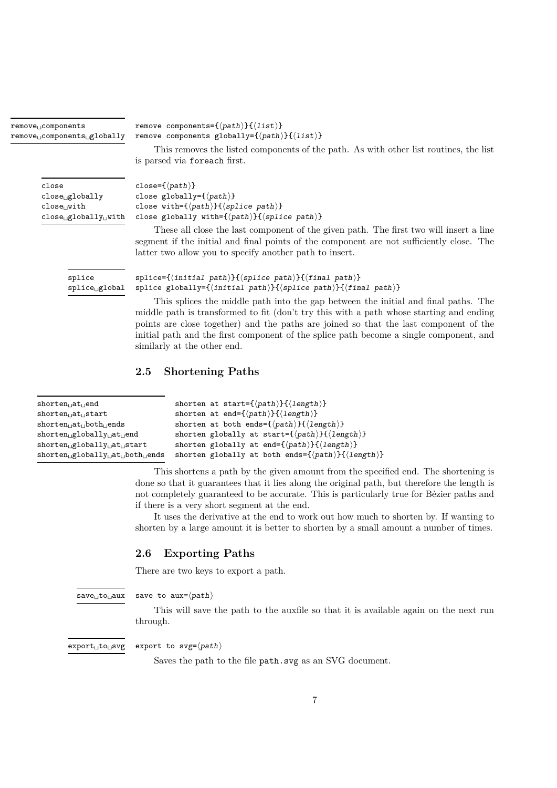| remove <sub>Li</sub> components<br>remove <sub>D</sub> components <sub>Dglobally</sub> | remove components={ $\langle path \rangle$ }{ $\langle list \rangle$ }<br>remove components globally={ $\langle path \rangle$ }{ $\langle list \rangle$ }                                                                                     |  |  |
|----------------------------------------------------------------------------------------|-----------------------------------------------------------------------------------------------------------------------------------------------------------------------------------------------------------------------------------------------|--|--|
|                                                                                        | This removes the listed components of the path. As with other list routines, the list<br>is parsed via foreach first.                                                                                                                         |  |  |
| close                                                                                  | close= $\{\langle path \rangle\}$                                                                                                                                                                                                             |  |  |
| close_globally                                                                         | close globally= $\{\langle path \rangle\}$                                                                                                                                                                                                    |  |  |
| close <sub>  </sub> with                                                               | close with={ $\langle path \rangle$ }{ $\langle split \rangle$ }                                                                                                                                                                              |  |  |
| $close$ globally with                                                                  | close globally with= $\{\langle path \rangle\} \{\langle split \rangle\}$                                                                                                                                                                     |  |  |
|                                                                                        | These all close the last component of the given path. The first two will insert a line<br>segment if the initial and final points of the component are not sufficiently close. The<br>latter two allow you to specify another path to insert. |  |  |
| splice<br>$\text{splice}_{\sqcup}$ global                                              | $\text{splice}=\{\langle \text{initial path}\rangle\}\{\langle \text{splice path}\rangle\}\{\langle \text{final path}\rangle\}$<br>splice globally={ $\{initial path\}$ }{ $\{split$ path}}{ $\{final path\}$ }                               |  |  |
|                                                                                        | This splices the middle path into the gap between the initial and final paths. The<br>middle path is transformed to fit (don't try this with a path whose starting and ending                                                                 |  |  |

middle path is transformed to fit (don't try this with a path whose starting and ending points are close together) and the paths are joined so that the last component of the initial path and the first component of the splice path become a single component, and similarly at the other end.

## <span id="page-6-0"></span>**2.5 Shortening Paths**

| $shorten_{\Box}at_{\Box}end$                                                                                     | shorten at start= $\{\langle path \rangle\} \{\langle length \rangle\}$             |
|------------------------------------------------------------------------------------------------------------------|-------------------------------------------------------------------------------------|
| shorten <sub>il</sub> at <sub>i i</sub> start                                                                    | shorten at end={ $\langle path \rangle$ }{ $\langle length \rangle$ }               |
| $shorten  at  both  ends$                                                                                        | shorten at both ends= $\{\langle path \rangle\} \{\langle length \rangle\}$         |
| $shorten_{  }$ globally $_{  }$ at $_{  }$ end                                                                   | shorten globally at start= $\{\langle path \rangle\}\{\langle length \rangle\}$     |
| $shorten_{  }$ globally <sub><math>  </math>at<sub><math>  </math></sub>start</sub>                              | shorten globally at end= $\{\langle path \rangle\}\{\langle length \rangle\}$       |
| $shorten_{  }$ globally <sub><math>  </math>at<sub><math>  </math></sub>both<sub><math>  </math></sub>ends</sub> | shorten globally at both ends= $\{\langle path \rangle\}\{\langle length \rangle\}$ |

This shortens a path by the given amount from the specified end. The shortening is done so that it guarantees that it lies along the original path, but therefore the length is not completely guaranteed to be accurate. This is particularly true for Bézier paths and if there is a very short segment at the end.

It uses the derivative at the end to work out how much to shorten by. If wanting to shorten by a large amount it is better to shorten by a small amount a number of times.

## <span id="page-6-1"></span>**2.6 Exporting Paths**

There are two keys to export a path.

save␣to␣aux

```
save to aux=\langle path \rangle
```
This will save the path to the auxfile so that it is available again on the next run through.

export␣to␣svg

export to  $svg=\langle path \rangle$ 

Saves the path to the file path.svg as an SVG document.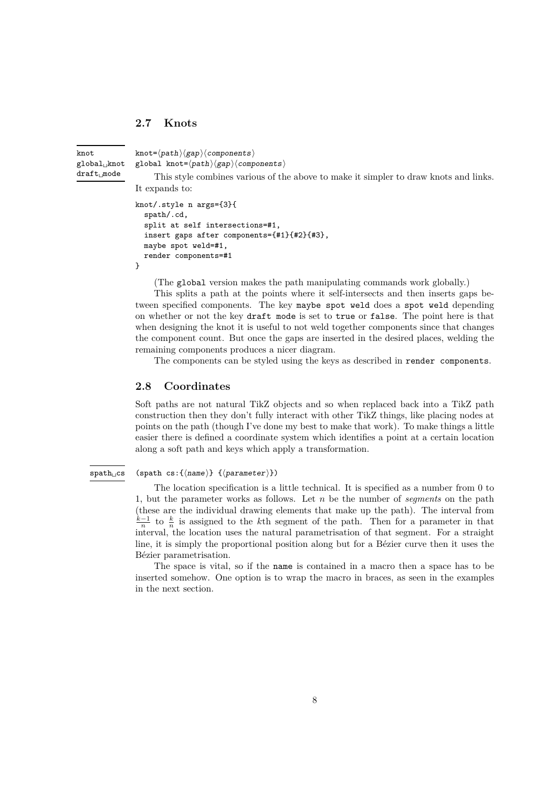## <span id="page-7-0"></span>**2.7 Knots**

 $knot = \langle path \rangle \langle gap \rangle \langle components \rangle$ global knot= $\langle path \rangle$ (gap) $\langle components \rangle$ This style combines various of the above to make it simpler to draw knots and links. It expands to: knot global␣knot draft␣mode

```
knot/.style n args={3}{
  spath/.cd,
 split at self intersections=#1,
 insert gaps after components={#1}{#2}{#3},
 maybe spot weld=#1,
 render components=#1
}
```
(The global version makes the path manipulating commands work globally.)

This splits a path at the points where it self-intersects and then inserts gaps between specified components. The key maybe spot weld does a spot weld depending on whether or not the key draft mode is set to true or false. The point here is that when designing the knot it is useful to not weld together components since that changes the component count. But once the gaps are inserted in the desired places, welding the remaining components produces a nicer diagram.

The components can be styled using the keys as described in render components.

### <span id="page-7-1"></span>**2.8 Coordinates**

Soft paths are not natural TikZ objects and so when replaced back into a TikZ path construction then they don't fully interact with other TikZ things, like placing nodes at points on the path (though I've done my best to make that work). To make things a little easier there is defined a coordinate system which identifies a point at a certain location along a soft path and keys which apply a transformation.

#### (spath cs: ${\langle name \rangle} {\{\langle parameter \rangle\}}$ ) spath␣cs

The location specification is a little technical. It is specified as a number from 0 to 1, but the parameter works as follows. Let *n* be the number of *segments* on the path (these are the individual drawing elements that make up the path). The interval from  $\frac{k-1}{n}$  to  $\frac{k}{n}$  is assigned to the *k*<sup>th</sup> segment of the path. Then for a parameter in that interval, the location uses the natural parametrisation of that segment. For a straight line, it is simply the proportional position along but for a Bézier curve then it uses the Bézier parametrisation.

The space is vital, so if the name is contained in a macro then a space has to be inserted somehow. One option is to wrap the macro in braces, as seen in the examples in the next section.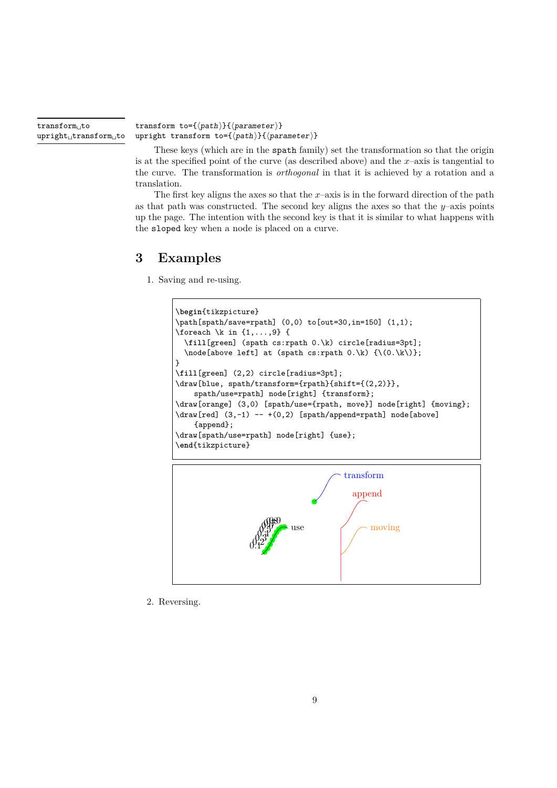transform␣to upright␣transform␣to

transform to={ $\langle path \rangle$ }{ $\langle parameter \rangle$ } upright transform to={ $\langle path \rangle$ }{ $\langle parameter \rangle$ }

These keys (which are in the spath family) set the transformation so that the origin is at the specified point of the curve (as described above) and the  $x$ –axis is tangential to the curve. The transformation is *orthogonal* in that it is achieved by a rotation and a translation.

The first key aligns the axes so that the  $x$ –axis is in the forward direction of the path as that path was constructed. The second key aligns the axes so that the  $y$ –axis points up the page. The intention with the second key is that it is similar to what happens with the sloped key when a node is placed on a curve.

# <span id="page-8-0"></span>**3 Examples**

1. Saving and re-using.





2. Reversing.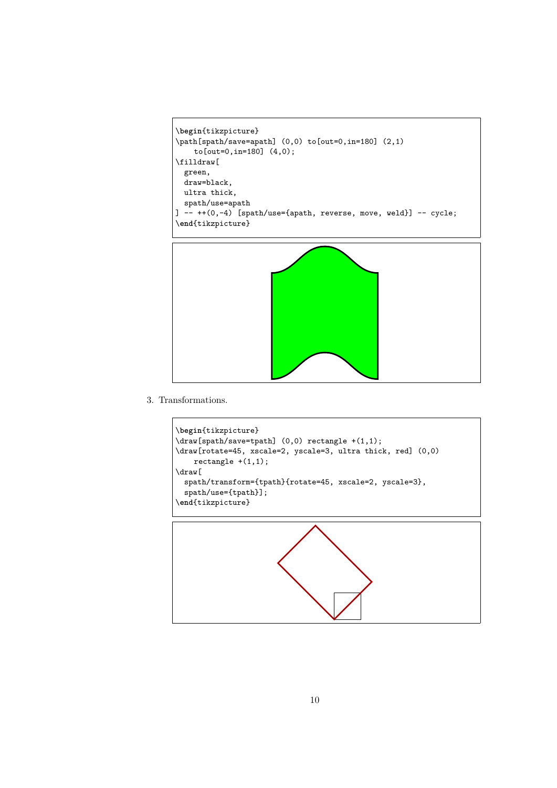```
\begin{tikzpicture}
\path[spath/save=apath] (0,0) to[out=0,in=180] (2,1)
    to[out=0,in=180] (4,0);\filldraw[
  green,
  draw=black,
 ultra thick,
 spath/use=apath
\overline{1} -- ++(0,-4) [spath/use={apath, reverse, move, weld}] -- cycle;
\end{tikzpicture}
```


3. Transformations.



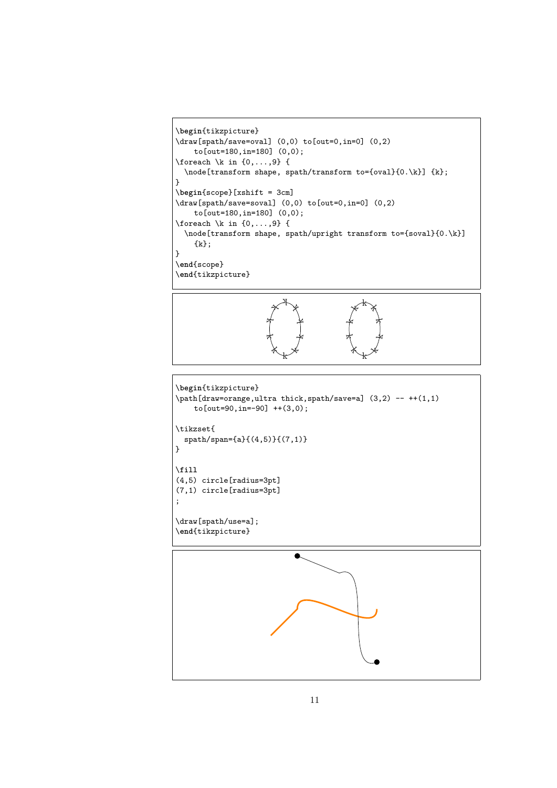```
\begin{tikzpicture}
\draw[spath/save=oval] (0,0) to[out=0,in=0] (0,2)
    to[out=180,in=180] (0,0);
\foreach \k in \{0,\ldots,9\} {
  \node[transform shape, spath/transform to={oval}{0.\k}] {k};
}
\begin{scope}[xshift = 3cm]
\draw[spath/save=soval] (0,0) to[out=0,in=0] (0,2)
    to[out=180,in=180] (0,0);
\foreach \k in \{0,\ldots,9\} {
  \node[transform shape, spath/upright transform to={soval}{0.\k}]
    {k};
}
\end{scope}
\end{tikzpicture}
```


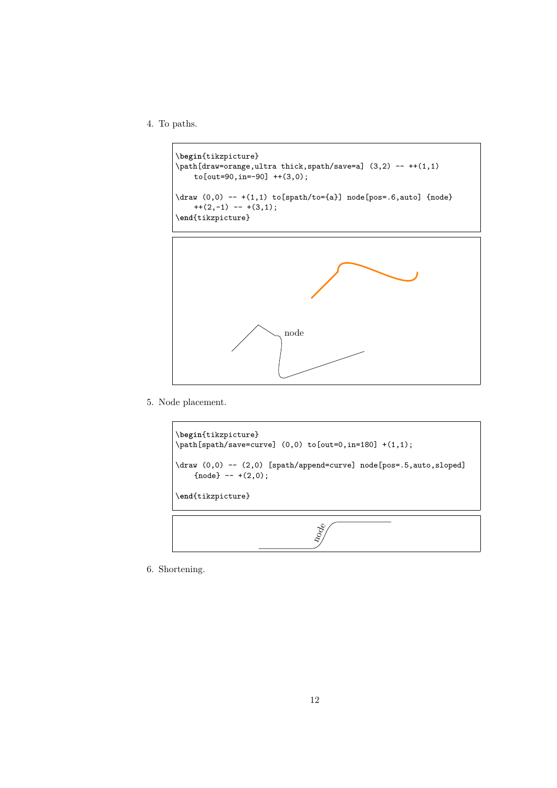4. To paths.

```
\begin{tikzpicture}
\path[draw=orange,ultra thick,spath/save=a] (3,2) -- ++(1,1)
    to[out=90,in=-90] ++(3,0);
\draw (0,0) -- +(1,1) to[spath/to={a}] node[pos=.6,auto] {node}
    + + (2,-1) - + (3,1);
\end{tikzpicture}
```


5. Node placement.



6. Shortening.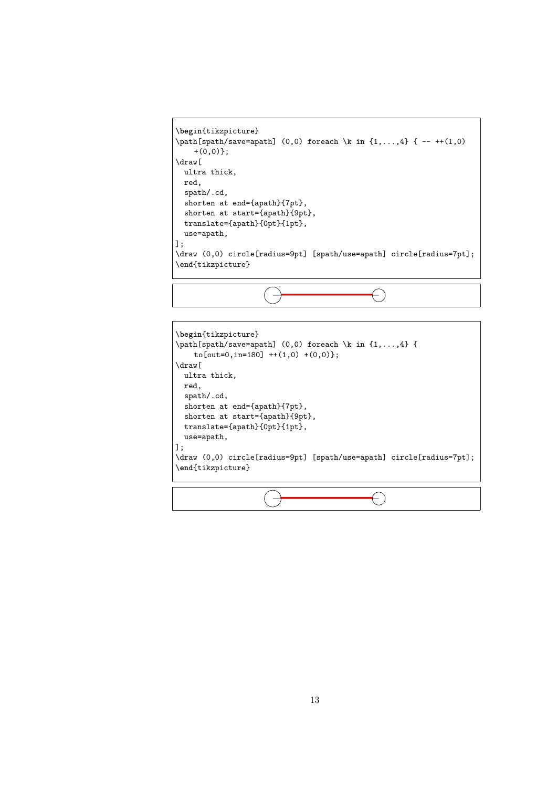```
\begin{tikzpicture}
\path[spath/save=apath] (0,0) foreach \k in {1,...,4} { -- ++(1,0)
    +(0,0)};
\draw[
  ultra thick,
 red,
 spath/.cd,
 shorten at end={apath}{7pt},
 shorten at start={apath}{9pt},
 translate={apath}{0pt}{1pt},
 use=apath,
];
\draw (0,0) circle[radius=9pt] [spath/use=apath] circle[radius=7pt];
\end{tikzpicture}
```
 $\overline{\phantom{a}}$ 

f,

 $\left( -\right)$ 

 $\left(\begin{matrix} \cdot \end{matrix}\right)$ 

```
\begin{tikzpicture}
\path[spath/save=apath] (0,0) foreach \k in {1,...,4} {
    to[out=0, in=180] ++(1,0) +(0,0);
\draw[
 ultra thick,
 red,
 spath/.cd,
  shorten at end={apath}{7pt},
 shorten at start={apath}{9pt},
 translate={apath}{0pt}{1pt},
 use=apath,
];
\draw (0,0) circle[radius=9pt] [spath/use=apath] circle[radius=7pt];
\end{tikzpicture}
```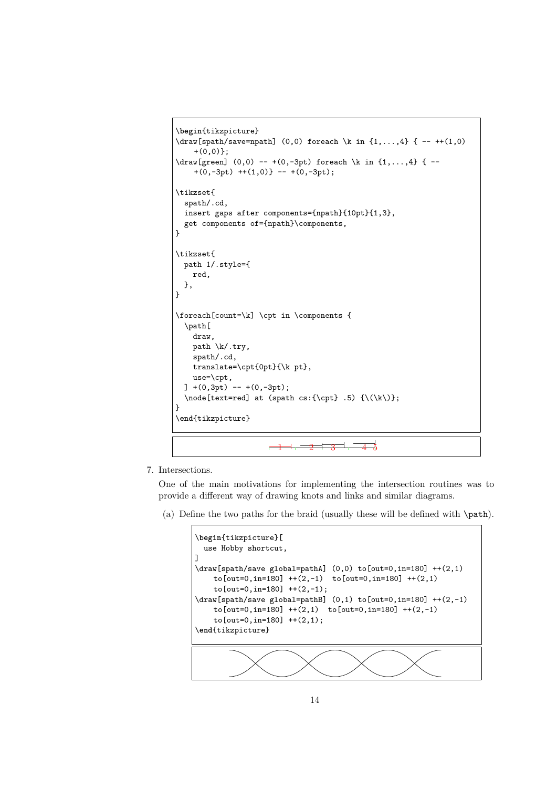```
\begin{tikzpicture}
\draw[spath/save=npath] (0,0) foreach \k in {1,...,4} { -- ++(1,0)
     +(0,0)};
\draw[green] (0,0) -- +(0,-3pt) foreach \k in {1,...,4} { --
     +(0,-3pt) ++(1,0)} -- +(0,-3pt);
\tikzset{
  spath/.cd,
  insert gaps after components={npath}{10pt}{1,3},
  get components of={npath}\components,
}
\tikzset{
  path 1/.style={
    red,
  },
}
\foreach[count=\k] \cpt in \components {
  \path[
    draw,
    path \k/.try,
    spath/.cd,
    translate=\cpt{0pt}{\k pt},
    use=\cpt,
  ] + (0,3pt) - + (0,-3pt);\label{thm:main} $$\node[text=red] at (spath cs:_{\cpt}, .5) _{\(\k\})};}
\end{tikzpicture}
                           \overline{1} \overline{1} \overline{2} \overline{3} \overline{3} \overline{4} \overline{4} \overline{3}\equiv
```
7. Intersections.

One of the main motivations for implementing the intersection routines was to provide a different way of drawing knots and links and similar diagrams.

(a) Define the two paths for the braid (usually these will be defined with \path).

```
\begin{tikzpicture}[
 use Hobby shortcut,
]
\draw[spath/save global=pathA] (0,0) to[out=0,in=180] ++(2,1)to[out=0,in=180] ++(2,-1) to[out=0,in=180] ++(2,1)
    to[out=0,in=180] ++(2,-1);
\draw[spath/save global=pathB] (0,1) to[out=0,in=180] ++(2,-1)
    to[out=0, in=180] ++(2,1) to[out=0, in=180] ++(2,-1)to[out=0,in=180] ++(2,1);\end{tikzpicture}
```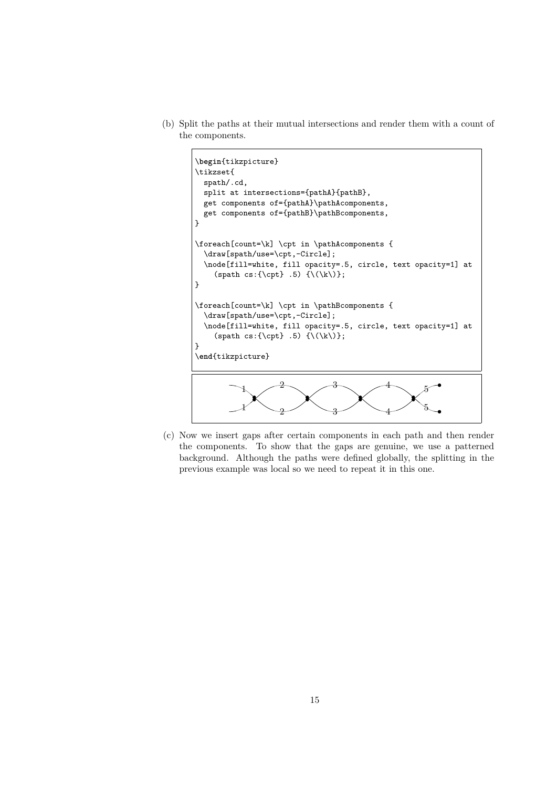(b) Split the paths at their mutual intersections and render them with a count of the components.



(c) Now we insert gaps after certain components in each path and then render the components. To show that the gaps are genuine, we use a patterned background. Although the paths were defined globally, the splitting in the previous example was local so we need to repeat it in this one.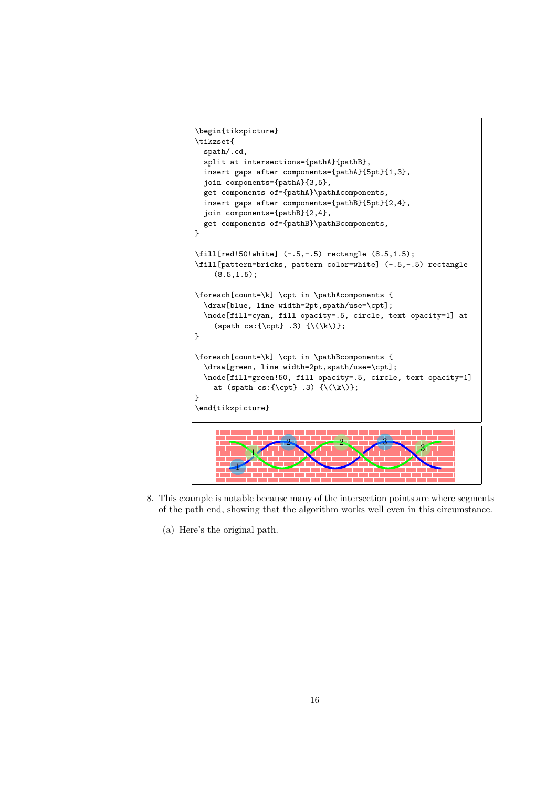```
\begin{tikzpicture}
\tikzset{
  spath/.cd,
 split at intersections={pathA}{pathB},
 insert gaps after components={pathA}{5pt}{1,3},
  join components={pathA}{3,5},
 get components of={pathA}\pathAcomponents,
 insert gaps after components={pathB}{5pt}{2,4},
 join components={pathB}{2,4},
 get components of={pathB}\pathBcomponents,
}
\fill[red!50!white] (-.5,-.5) rectangle (8.5,1.5);
\fill[pattern=bricks, pattern color=white] (-.5,-.5) rectangle
    (8.5, 1.5);
\foreach[count=\k] \cpt in \pathAcomponents {
  \draw[blue, line width=2pt,spath/use=\cpt];
  \node[fill=cyan, fill opacity=.5, circle, text opacity=1] at
    (spath cs:\{\cept\ .3) \ {\(\k\})};}
\foreach[count=\k] \cpt in \pathBcomponents {
  \draw[green, line width=2pt,spath/use=\cpt];
  \node[fill=green!50, fill opacity=.5, circle, text opacity=1]
    at (spath cs:\{\cpt\} .3) \{\(\k\)\};}
\end{tikzpicture}
         1
                     2 3
             1
                                 2
                                                    3
```
- 8. This example is notable because many of the intersection points are where segments of the path end, showing that the algorithm works well even in this circumstance.
	- (a) Here's the original path.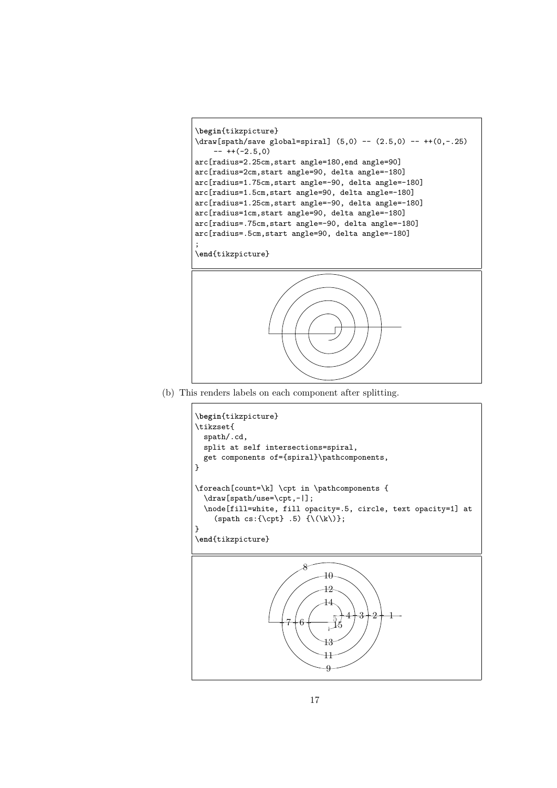```
\begin{tikzpicture}
\draw[spath/save global=spiral] (5,0) -- (2.5,0) -- ++(0,-.25)
    -- ++(-2.5,0)arc[radius=2.25cm,start angle=180,end angle=90]
arc[radius=2cm,start angle=90, delta angle=-180]
arc[radius=1.75cm,start angle=-90, delta angle=-180]
arc[radius=1.5cm,start angle=90, delta angle=-180]
arc[radius=1.25cm,start angle=-90, delta angle=-180]
arc[radius=1cm,start angle=90, delta angle=-180]
arc[radius=.75cm,start angle=-90, delta angle=-180]
arc[radius=.5cm,start angle=90, delta angle=-180]
;
\end{tikzpicture}
```
(b) This renders labels on each component after splitting.

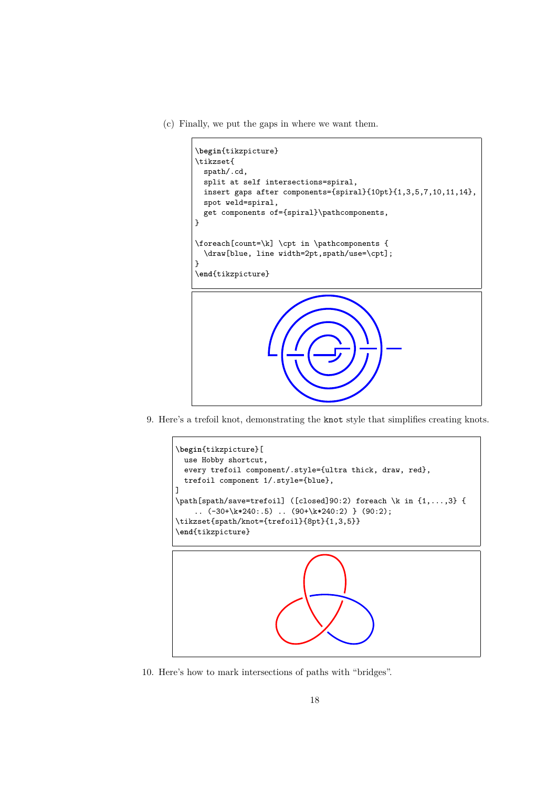(c) Finally, we put the gaps in where we want them.



9. Here's a trefoil knot, demonstrating the knot style that simplifies creating knots.



10. Here's how to mark intersections of paths with "bridges".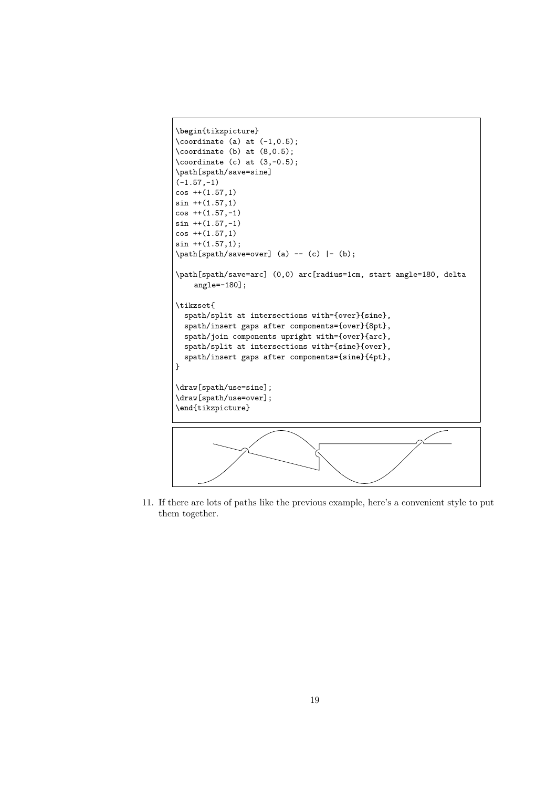```
\begin{tikzpicture}
\text{coordinate} (a) at (-1, 0.5);
\text{coordinate} (b) at (8, 0.5);
\text{coordinate} (c) at (3,-0.5);
\path[spath/save=sine]
(-1.57,-1)cos + (1.57,1)sin ++(1.57,1)cos + (1.57, -1)sin ++(1.57,-1)cos ++(1.57,1)sin ++(1.57,1);\path[spath/save=over] (a) -- (c) |- (b);
\path[spath/save=arc] (0,0) arc[radius=1cm, start angle=180, delta
    angle=-180];
\tikzset{
  spath/split at intersections with={over}{sine},
  spath/insert gaps after components={over}{8pt},
  spath/join components upright with={over}{arc},
  spath/split at intersections with={sine}{over},
  spath/insert gaps after components={sine}{4pt},
}
\draw[spath/use=sine];
\draw[spath/use=over];
\end{tikzpicture}
```
11. If there are lots of paths like the previous example, here's a convenient style to put them together.